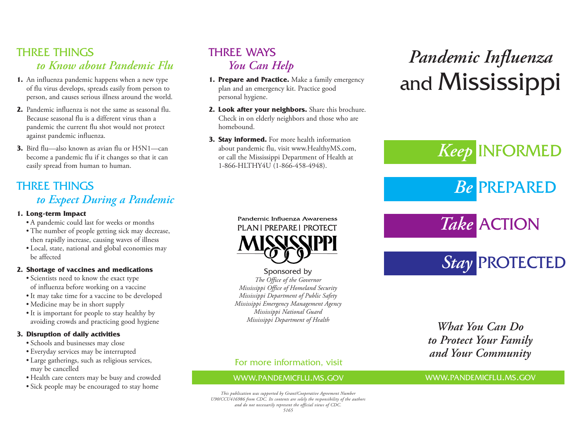# THREE THINGS *to Know about Pandemic Flu*

- **1.** An influenza pandemic happens when a new type of flu virus develops, spreads easily from person to person, and causes serious illness around the world.
- **2.** Pandemic influenza is not the same as seasonal flu. Because seasonal flu is a different virus than a pandemic the current flu shot would not protect against pandemic influenza.
- **3.** Bird flu—also known as avian flu or H5N1—can become a pandemic flu if it changes so that it can easily spread from human to human.

## THREE THINGS *to Expect During a Pandemic*

#### **1. Long-term Impact**

- A pandemic could last for weeks or months
- The number of people getting sick may decrease, then rapidly increase, causing waves of illness
- Local, state, national and global economies may be affected

## **2. Shortage of vaccines and medications**

- Scientists need to know the exact type of influenza before working on a vaccine
- It may take time for a vaccine to be developed
- Medicine may be in short supply
- It is important for people to stay healthy by avoiding crowds and practicing good hygiene

## **3. Disruption of daily activities**

- Schools and businesses may close
- Everyday services may be interrupted
- Large gatherings, such as religious services, may be cancelled
- Health care centers may be busy and crowded
- Sick people may be encouraged to stay home

# THREE WAYS *You Can Help*

- **1. Prepare and Practice.** Make a family emergency plan and an emergency kit. Practice good personal hygiene.
- **2. Look after your neighbors.** Share this brochure. Check in on elderly neighbors and those who are homebound.
- **3. Stay informed.** For more health information about pandemic flu, visit www.HealthyMS.com, or call the Mississippi Department of Health at 1-866-HLTHY4U (1-866-458-4948).

# *Pandemic Influenza* and Mississippi

*Keep* INFORMED *Be* PREPARED *Take* ACTION

*Stay* PROTECTED

Pandemic Influenza Awareness **PLANI PREPAREI PROTECT** 

Sponsored by *The Office of the Governor Mississippi Office of Homeland Security Mississippi Department of Public Safety Mississippi Emergency Management Agency Mississippi National Guard Mississippi Department of Health*

# *What You Can Do to Protect Your Family and Your Community*

## For more information, visit

## WWW.PANDEMICFLU.MS.GOV

#### *This publication was supported by Grant/Cooperative Agreement Number U90/CCU416986 from CDC. Its contents are solely the responsibility of the authors and do not necessarily represent the official views of CDC. 5165*

WWW.PANDEMICFLU.MS.GOV